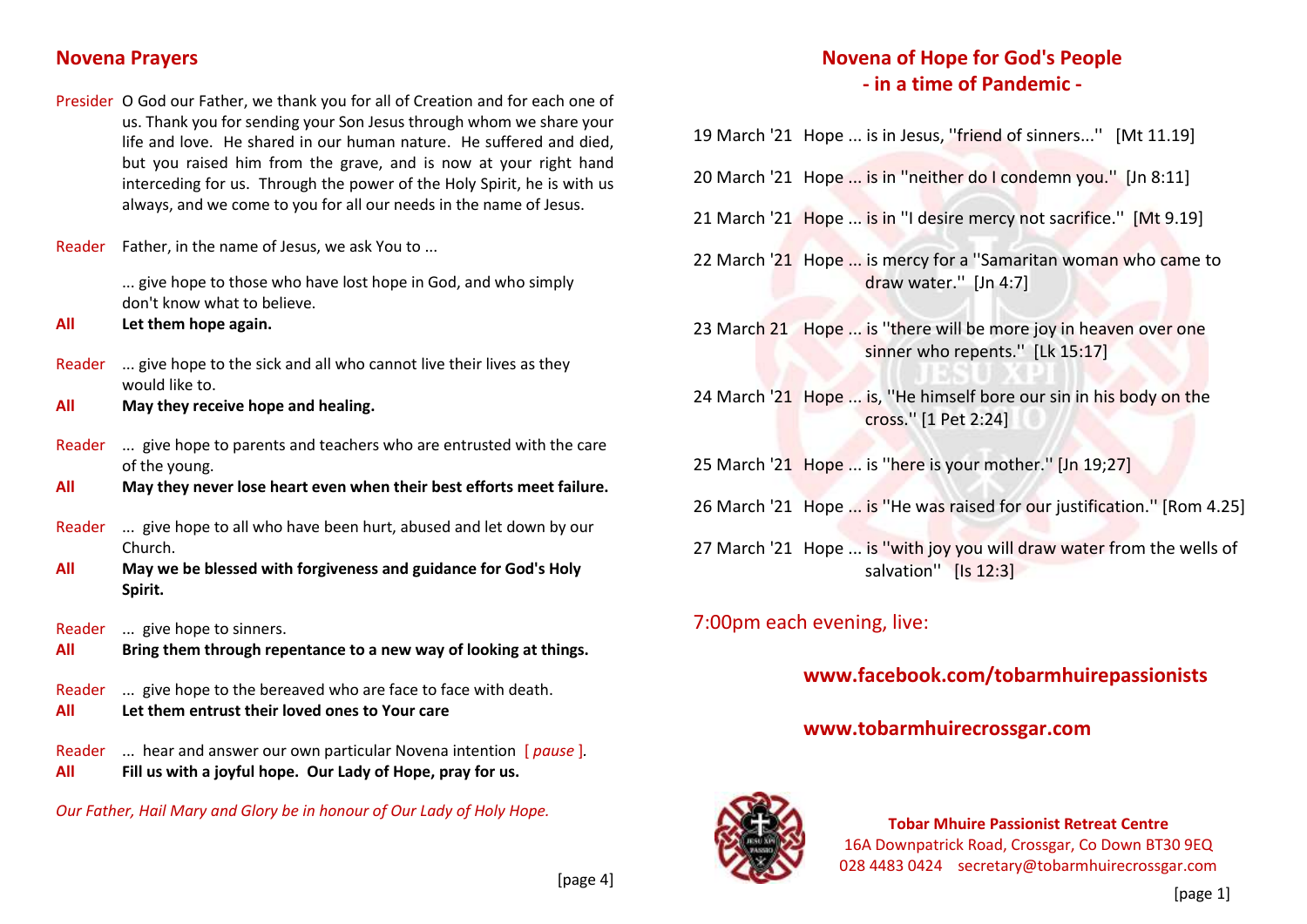#### **Novena Prayers**

Presider O God our Father, we thank you for all of Creation and for each one of us. Thank you for sending your Son Jesus through whom we share your life and love. He shared in our human nature. He suffered and died, but you raised him from the grave, and is now at your right hand interceding for us. Through the power of the Holy Spirit, he is with us always, and we come to you for all our needs in the name of Jesus.

Reader Father, in the name of Jesus, we ask You to ...

... give hope to those who have lost hope in God, and who simply don't know what to believe.

- **All Let them hope again.**
- Reader ... give hope to the sick and all who cannot live their lives as they would like to.
- **All May they receive hope and healing.**
- Reader ... give hope to parents and teachers who are entrusted with the care of the young.
- **All May they never lose heart even when their best efforts meet failure.**
- Reader ... give hope to all who have been hurt, abused and let down by our Church.
- **All May we be blessed with forgiveness and guidance for God's Holy Spirit.**
- Reader ... give hope to sinners.
- **All Bring them through repentance to a new way of looking at things.**
- Reader ... give hope to the bereaved who are face to face with death.
- **All Let them entrust their loved ones to Your care**
- Reader ... hear and answer our own particular Novena intention [ *pause* ]*.* **All Fill us with a joyful hope. Our Lady of Hope, pray for us.**

*Our Father, Hail Mary and Glory be in honour of Our Lady of Holy Hope.*

# **Novena of Hope for God's People - in a time of Pandemic -**

19 March '21 Hope ... is in Jesus, ''friend of sinners...'' [Mt 11.19]

- 20 March '21 Hope ... is in ''neither do I condemn you.'' [Jn 8:11]
- 21 March '21 Hope ... is in ''I desire mercy not sacrifice.'' [Mt 9.19]
- 22 March '21 Hope ... is mercy for a ''Samaritan woman who came to draw water.'' [Jn 4:7]
- 23 March 21 Hope ... is ''there will be more joy in heaven over one sinner who repents.'' [Lk 15:17]
- 24 March '21 Hope ... is, ''He himself bore our sin in his body on the cross.'' [1 Pet 2:24]
- 25 March '21 Hope ... is ''here is your mother.'' [Jn 19;27]
- 26 March '21 Hope ... is ''He was raised for our justification.'' [Rom 4.25]
- 27 March '21 Hope ... is ''with joy you will draw water from the wells of salvation'' [Is 12:3]

## 7:00pm each evening, live:

# **www.facebook.com/tobarmhuirepassionists**

#### **www.tobarmhuirecrossgar.com**



**Tobar Mhuire Passionist Retreat Centre** 16A Downpatrick Road, Crossgar, Co Down BT30 9EQ 028 4483 0424 secretary@tobarmhuirecrossgar.com